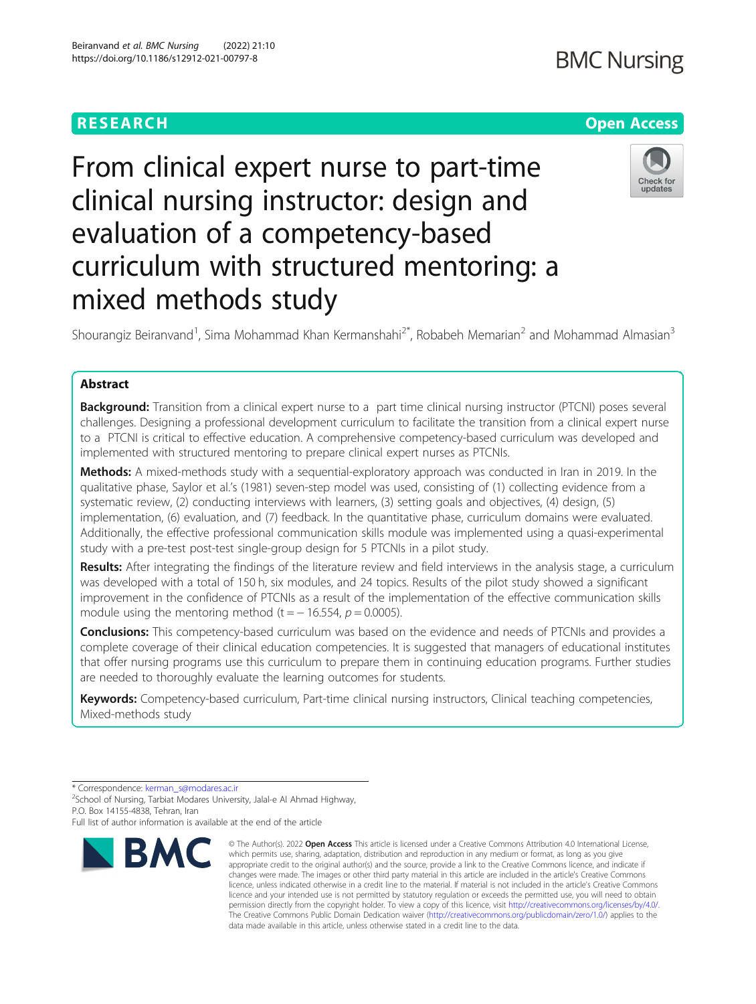# **RESEARCH CHEAR CHEAR CHEAR CHEAR CHEAR CHEAP CONTROL**

# From clinical expert nurse to part-time clinical nursing instructor: design and evaluation of a competency-based curriculum with structured mentoring: a mixed methods study

Shourangiz Beiranvand<sup>1</sup>, Sima Mohammad Khan Kermanshahi<sup>2\*</sup>, Robabeh Memarian<sup>2</sup> and Mohammad Almasian<sup>3</sup>

# Abstract

Background: Transition from a clinical expert nurse to a part time clinical nursing instructor (PTCNI) poses several challenges. Designing a professional development curriculum to facilitate the transition from a clinical expert nurse to a PTCNI is critical to effective education. A comprehensive competency-based curriculum was developed and implemented with structured mentoring to prepare clinical expert nurses as PTCNIs.

Methods: A mixed-methods study with a sequential-exploratory approach was conducted in Iran in 2019. In the qualitative phase, Saylor et al.'s (1981) seven-step model was used, consisting of (1) collecting evidence from a systematic review, (2) conducting interviews with learners, (3) setting goals and objectives, (4) design, (5) implementation, (6) evaluation, and (7) feedback. In the quantitative phase, curriculum domains were evaluated. Additionally, the effective professional communication skills module was implemented using a quasi-experimental study with a pre-test post-test single-group design for 5 PTCNIs in a pilot study.

Results: After integrating the findings of the literature review and field interviews in the analysis stage, a curriculum was developed with a total of 150 h, six modules, and 24 topics. Results of the pilot study showed a significant improvement in the confidence of PTCNIs as a result of the implementation of the effective communication skills module using the mentoring method (t =  $-16.554$ ,  $p = 0.0005$ ).

**Conclusions:** This competency-based curriculum was based on the evidence and needs of PTCNIs and provides a complete coverage of their clinical education competencies. It is suggested that managers of educational institutes that offer nursing programs use this curriculum to prepare them in continuing education programs. Further studies are needed to thoroughly evaluate the learning outcomes for students.

Keywords: Competency-based curriculum, Part-time clinical nursing instructors, Clinical teaching competencies, Mixed-methods study

\* Correspondence: [kerman\\_s@modares.ac.ir](mailto:kerman_s@modares.ac.ir) <sup>2</sup>

<sup>2</sup>School of Nursing, Tarbiat Modares University, Jalal-e Al Ahmad Highway, P.O. Box 14155-4838, Tehran, Iran

Full list of author information is available at the end of the article







# **BMC**

<sup>©</sup> The Author(s), 2022 **Open Access** This article is licensed under a Creative Commons Attribution 4.0 International License, which permits use, sharing, adaptation, distribution and reproduction in any medium or format, as long as you give appropriate credit to the original author(s) and the source, provide a link to the Creative Commons licence, and indicate if changes were made. The images or other third party material in this article are included in the article's Creative Commons licence, unless indicated otherwise in a credit line to the material. If material is not included in the article's Creative Commons licence and your intended use is not permitted by statutory regulation or exceeds the permitted use, you will need to obtain permission directly from the copyright holder. To view a copy of this licence, visit [http://creativecommons.org/licenses/by/4.0/.](http://creativecommons.org/licenses/by/4.0/) The Creative Commons Public Domain Dedication waiver [\(http://creativecommons.org/publicdomain/zero/1.0/](http://creativecommons.org/publicdomain/zero/1.0/)) applies to the data made available in this article, unless otherwise stated in a credit line to the data.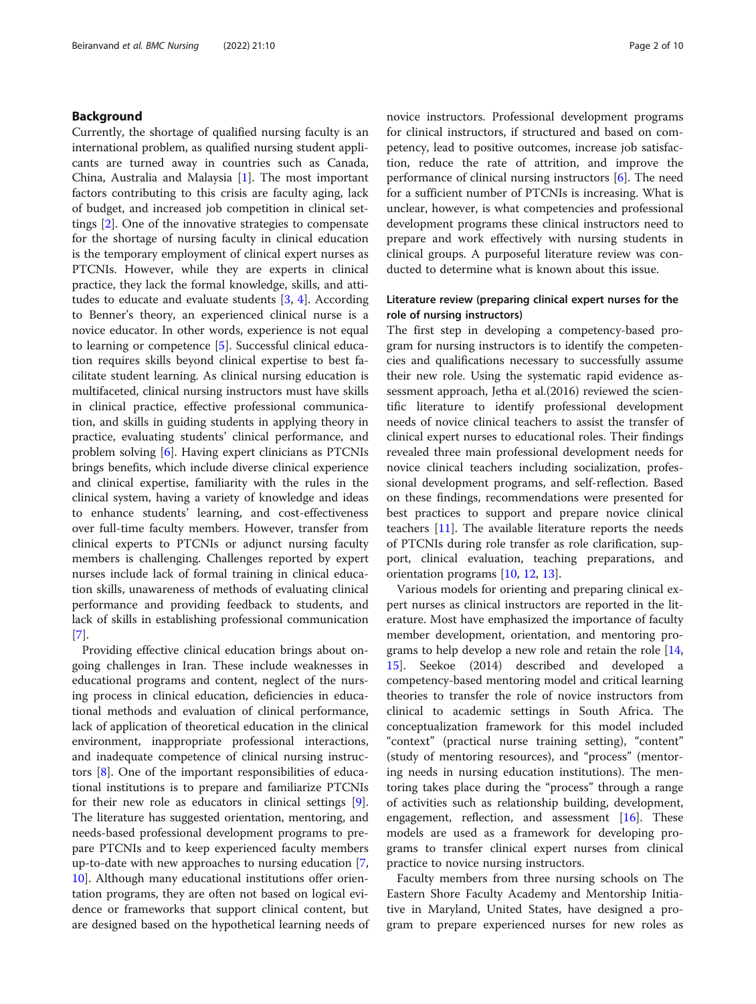## Background

Currently, the shortage of qualified nursing faculty is an international problem, as qualified nursing student applicants are turned away in countries such as Canada, China, Australia and Malaysia [\[1](#page-9-0)]. The most important factors contributing to this crisis are faculty aging, lack of budget, and increased job competition in clinical settings [[2\]](#page-9-0). One of the innovative strategies to compensate for the shortage of nursing faculty in clinical education is the temporary employment of clinical expert nurses as PTCNIs. However, while they are experts in clinical practice, they lack the formal knowledge, skills, and attitudes to educate and evaluate students  $[3, 4]$  $[3, 4]$  $[3, 4]$  $[3, 4]$ . According to Benner's theory, an experienced clinical nurse is a novice educator. In other words, experience is not equal to learning or competence [\[5](#page-9-0)]. Successful clinical education requires skills beyond clinical expertise to best facilitate student learning. As clinical nursing education is multifaceted, clinical nursing instructors must have skills in clinical practice, effective professional communication, and skills in guiding students in applying theory in practice, evaluating students' clinical performance, and problem solving [\[6](#page-9-0)]. Having expert clinicians as PTCNIs brings benefits, which include diverse clinical experience and clinical expertise, familiarity with the rules in the clinical system, having a variety of knowledge and ideas to enhance students' learning, and cost-effectiveness over full-time faculty members. However, transfer from clinical experts to PTCNIs or adjunct nursing faculty members is challenging. Challenges reported by expert nurses include lack of formal training in clinical education skills, unawareness of methods of evaluating clinical performance and providing feedback to students, and lack of skills in establishing professional communication [[7\]](#page-9-0).

Providing effective clinical education brings about ongoing challenges in Iran. These include weaknesses in educational programs and content, neglect of the nursing process in clinical education, deficiencies in educational methods and evaluation of clinical performance, lack of application of theoretical education in the clinical environment, inappropriate professional interactions, and inadequate competence of clinical nursing instructors [\[8](#page-9-0)]. One of the important responsibilities of educational institutions is to prepare and familiarize PTCNIs for their new role as educators in clinical settings [\[9](#page-9-0)]. The literature has suggested orientation, mentoring, and needs-based professional development programs to prepare PTCNIs and to keep experienced faculty members up-to-date with new approaches to nursing education [\[7](#page-9-0), [10\]](#page-9-0). Although many educational institutions offer orientation programs, they are often not based on logical evidence or frameworks that support clinical content, but are designed based on the hypothetical learning needs of novice instructors. Professional development programs for clinical instructors, if structured and based on competency, lead to positive outcomes, increase job satisfaction, reduce the rate of attrition, and improve the performance of clinical nursing instructors [[6](#page-9-0)]. The need for a sufficient number of PTCNIs is increasing. What is unclear, however, is what competencies and professional development programs these clinical instructors need to prepare and work effectively with nursing students in clinical groups. A purposeful literature review was conducted to determine what is known about this issue.

# Literature review (preparing clinical expert nurses for the role of nursing instructors)

The first step in developing a competency-based program for nursing instructors is to identify the competencies and qualifications necessary to successfully assume their new role. Using the systematic rapid evidence assessment approach, Jetha et al.(2016) reviewed the scientific literature to identify professional development needs of novice clinical teachers to assist the transfer of clinical expert nurses to educational roles. Their findings revealed three main professional development needs for novice clinical teachers including socialization, professional development programs, and self-reflection. Based on these findings, recommendations were presented for best practices to support and prepare novice clinical teachers [\[11](#page-9-0)]. The available literature reports the needs of PTCNIs during role transfer as role clarification, support, clinical evaluation, teaching preparations, and orientation programs [[10](#page-9-0), [12](#page-9-0), [13](#page-9-0)].

Various models for orienting and preparing clinical expert nurses as clinical instructors are reported in the literature. Most have emphasized the importance of faculty member development, orientation, and mentoring programs to help develop a new role and retain the role [[14](#page-9-0), [15\]](#page-9-0). Seekoe (2014) described and developed a competency-based mentoring model and critical learning theories to transfer the role of novice instructors from clinical to academic settings in South Africa. The conceptualization framework for this model included "context" (practical nurse training setting), "content" (study of mentoring resources), and "process" (mentoring needs in nursing education institutions). The mentoring takes place during the "process" through a range of activities such as relationship building, development, engagement, reflection, and assessment  $[16]$  $[16]$ . These models are used as a framework for developing programs to transfer clinical expert nurses from clinical practice to novice nursing instructors.

Faculty members from three nursing schools on The Eastern Shore Faculty Academy and Mentorship Initiative in Maryland, United States, have designed a program to prepare experienced nurses for new roles as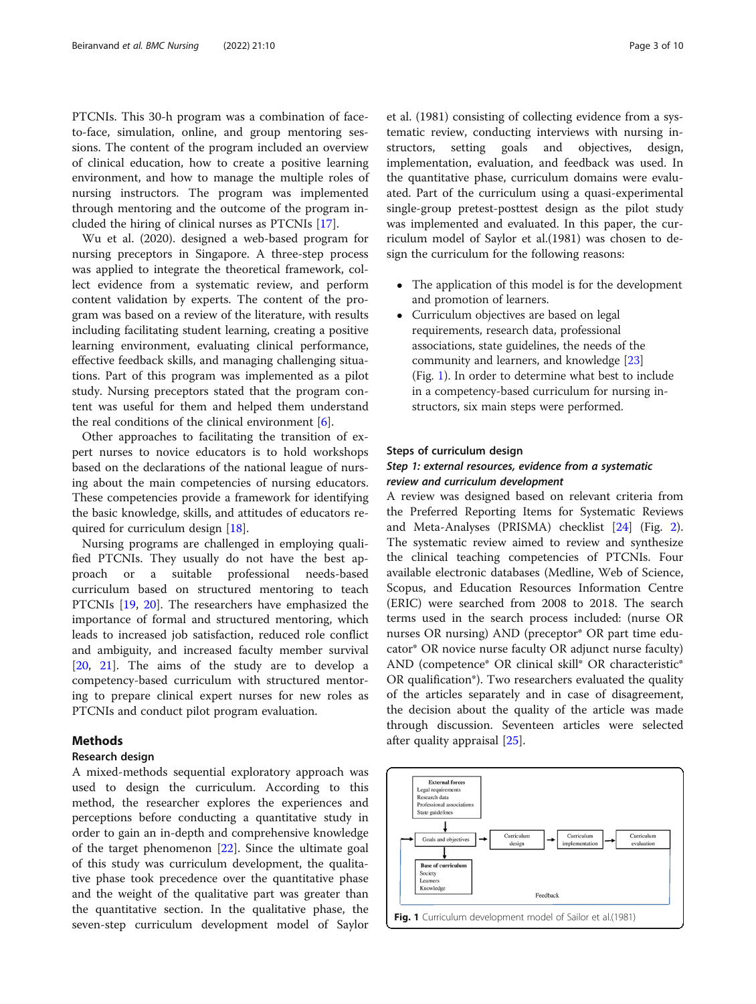PTCNIs. This 30-h program was a combination of faceto-face, simulation, online, and group mentoring sessions. The content of the program included an overview of clinical education, how to create a positive learning environment, and how to manage the multiple roles of nursing instructors. The program was implemented through mentoring and the outcome of the program included the hiring of clinical nurses as PTCNIs [\[17](#page-9-0)].

Wu et al. (2020). designed a web-based program for nursing preceptors in Singapore. A three-step process was applied to integrate the theoretical framework, collect evidence from a systematic review, and perform content validation by experts. The content of the program was based on a review of the literature, with results including facilitating student learning, creating a positive learning environment, evaluating clinical performance, effective feedback skills, and managing challenging situations. Part of this program was implemented as a pilot study. Nursing preceptors stated that the program content was useful for them and helped them understand the real conditions of the clinical environment  $[6]$ .

Other approaches to facilitating the transition of expert nurses to novice educators is to hold workshops based on the declarations of the national league of nursing about the main competencies of nursing educators. These competencies provide a framework for identifying the basic knowledge, skills, and attitudes of educators required for curriculum design [\[18\]](#page-9-0).

Nursing programs are challenged in employing qualified PTCNIs. They usually do not have the best approach or a suitable professional needs-based curriculum based on structured mentoring to teach PTCNIs [\[19](#page-9-0), [20](#page-9-0)]. The researchers have emphasized the importance of formal and structured mentoring, which leads to increased job satisfaction, reduced role conflict and ambiguity, and increased faculty member survival [[20,](#page-9-0) [21\]](#page-9-0). The aims of the study are to develop a competency-based curriculum with structured mentoring to prepare clinical expert nurses for new roles as PTCNIs and conduct pilot program evaluation.

# Methods

#### Research design

A mixed-methods sequential exploratory approach was used to design the curriculum. According to this method, the researcher explores the experiences and perceptions before conducting a quantitative study in order to gain an in-depth and comprehensive knowledge of the target phenomenon [\[22](#page-9-0)]. Since the ultimate goal of this study was curriculum development, the qualitative phase took precedence over the quantitative phase and the weight of the qualitative part was greater than the quantitative section. In the qualitative phase, the seven-step curriculum development model of Saylor et al. (1981) consisting of collecting evidence from a systematic review, conducting interviews with nursing instructors, setting goals and objectives, design, implementation, evaluation, and feedback was used. In the quantitative phase, curriculum domains were evaluated. Part of the curriculum using a quasi-experimental single-group pretest-posttest design as the pilot study was implemented and evaluated. In this paper, the curriculum model of Saylor et al.(1981) was chosen to design the curriculum for the following reasons:

- The application of this model is for the development and promotion of learners.
- Curriculum objectives are based on legal requirements, research data, professional associations, state guidelines, the needs of the community and learners, and knowledge [[23](#page-9-0)] (Fig. 1). In order to determine what best to include in a competency-based curriculum for nursing instructors, six main steps were performed.

#### Steps of curriculum design

# Step 1: external resources, evidence from a systematic review and curriculum development

A review was designed based on relevant criteria from the Preferred Reporting Items for Systematic Reviews and Meta-Analyses (PRISMA) checklist [\[24](#page-9-0)] (Fig. [2](#page-3-0)). The systematic review aimed to review and synthesize the clinical teaching competencies of PTCNIs. Four available electronic databases (Medline, Web of Science, Scopus, and Education Resources Information Centre (ERIC) were searched from 2008 to 2018. The search terms used in the search process included: (nurse OR nurses OR nursing) AND (preceptor\* OR part time educator\* OR novice nurse faculty OR adjunct nurse faculty) AND (competence\* OR clinical skill\* OR characteristic\* OR qualification\*). Two researchers evaluated the quality of the articles separately and in case of disagreement, the decision about the quality of the article was made through discussion. Seventeen articles were selected after quality appraisal [\[25\]](#page-9-0).

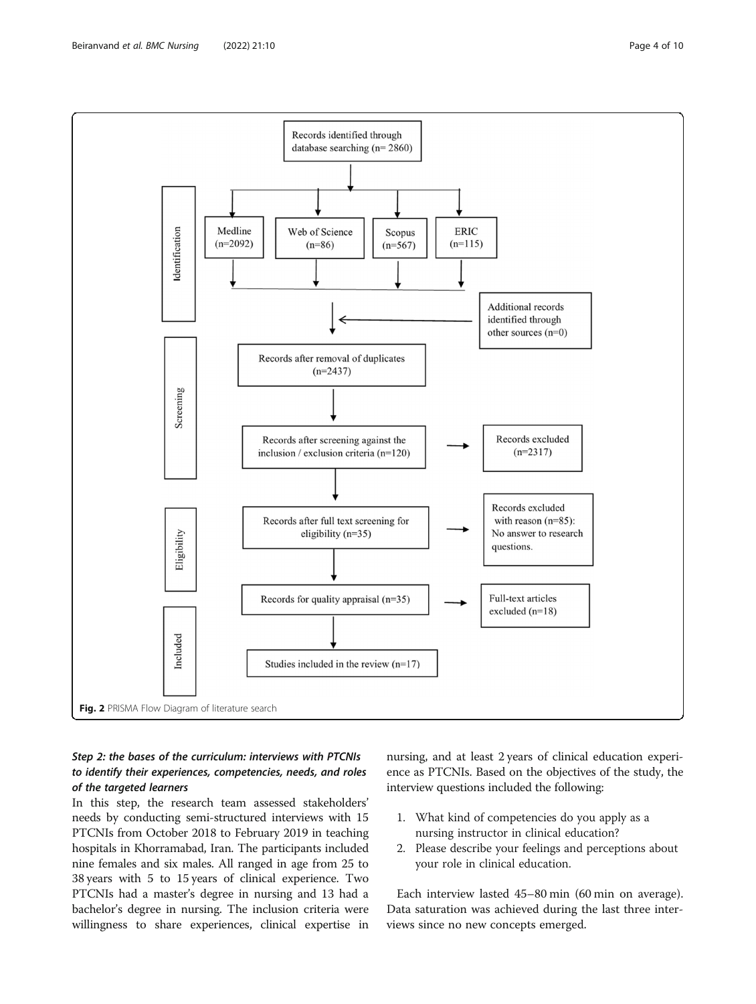<span id="page-3-0"></span>

# Step 2: the bases of the curriculum: interviews with PTCNIs to identify their experiences, competencies, needs, and roles of the targeted learners

In this step, the research team assessed stakeholders' needs by conducting semi-structured interviews with 15 PTCNIs from October 2018 to February 2019 in teaching hospitals in Khorramabad, Iran. The participants included nine females and six males. All ranged in age from 25 to 38 years with 5 to 15 years of clinical experience. Two PTCNIs had a master's degree in nursing and 13 had a bachelor's degree in nursing. The inclusion criteria were willingness to share experiences, clinical expertise in nursing, and at least 2 years of clinical education experience as PTCNIs. Based on the objectives of the study, the interview questions included the following:

- 1. What kind of competencies do you apply as a nursing instructor in clinical education?
- 2. Please describe your feelings and perceptions about your role in clinical education.

Each interview lasted 45–80 min (60 min on average). Data saturation was achieved during the last three interviews since no new concepts emerged.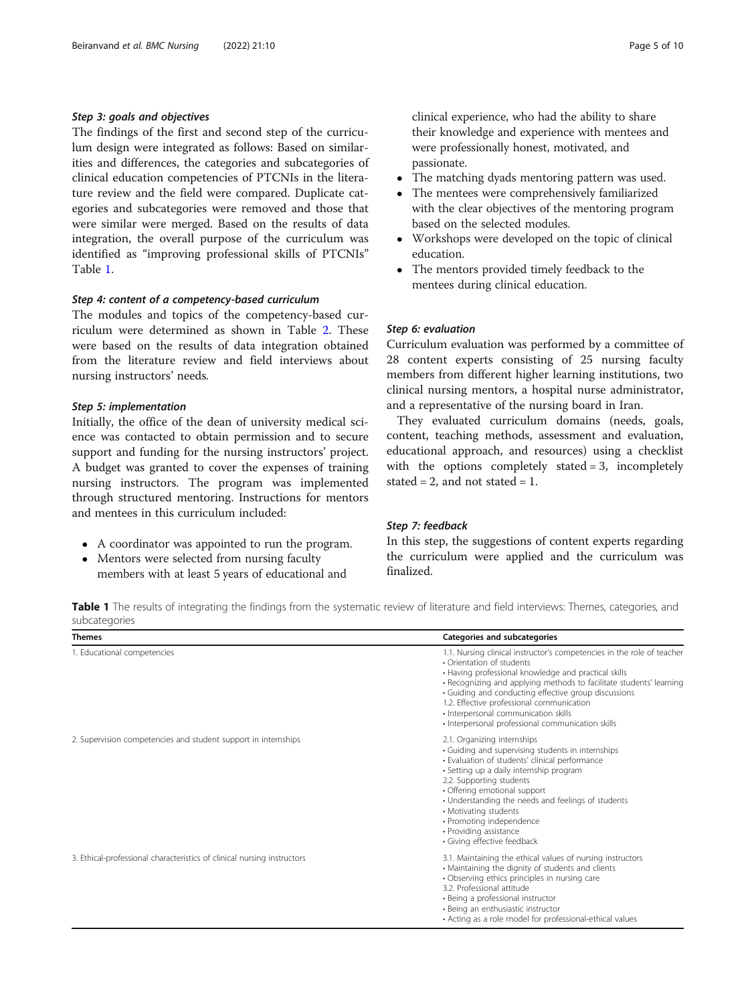### <span id="page-4-0"></span>Step 3: goals and objectives

The findings of the first and second step of the curriculum design were integrated as follows: Based on similarities and differences, the categories and subcategories of clinical education competencies of PTCNIs in the literature review and the field were compared. Duplicate categories and subcategories were removed and those that were similar were merged. Based on the results of data integration, the overall purpose of the curriculum was identified as "improving professional skills of PTCNIs" Table 1.

#### Step 4: content of a competency-based curriculum

The modules and topics of the competency-based curriculum were determined as shown in Table [2](#page-5-0). These were based on the results of data integration obtained from the literature review and field interviews about nursing instructors' needs.

#### Step 5: implementation

Initially, the office of the dean of university medical science was contacted to obtain permission and to secure support and funding for the nursing instructors' project. A budget was granted to cover the expenses of training nursing instructors. The program was implemented through structured mentoring. Instructions for mentors and mentees in this curriculum included:

- A coordinator was appointed to run the program.
- Mentors were selected from nursing faculty members with at least 5 years of educational and

clinical experience, who had the ability to share their knowledge and experience with mentees and were professionally honest, motivated, and passionate.

- The matching dyads mentoring pattern was used.
- The mentees were comprehensively familiarized with the clear objectives of the mentoring program based on the selected modules.
- Workshops were developed on the topic of clinical education.
- The mentors provided timely feedback to the mentees during clinical education.

# Step 6: evaluation

Curriculum evaluation was performed by a committee of 28 content experts consisting of 25 nursing faculty members from different higher learning institutions, two clinical nursing mentors, a hospital nurse administrator, and a representative of the nursing board in Iran.

They evaluated curriculum domains (needs, goals, content, teaching methods, assessment and evaluation, educational approach, and resources) using a checklist with the options completely stated = 3, incompletely stated  $= 2$ , and not stated  $= 1$ .

### Step 7: feedback

In this step, the suggestions of content experts regarding the curriculum were applied and the curriculum was finalized.

Table 1 The results of integrating the findings from the systematic review of literature and field interviews: Themes, categories, and subcategories

| <b>Themes</b>                                                           | Categories and subcategories                                                                                                                                                                                                                                                                                                                                                                                                         |
|-------------------------------------------------------------------------|--------------------------------------------------------------------------------------------------------------------------------------------------------------------------------------------------------------------------------------------------------------------------------------------------------------------------------------------------------------------------------------------------------------------------------------|
| 1. Educational competencies                                             | 1.1. Nursing clinical instructor's competencies in the role of teacher<br>• Orientation of students<br>• Having professional knowledge and practical skills<br>• Recognizing and applying methods to facilitate students' learning<br>• Guiding and conducting effective group discussions<br>1.2. Effective professional communication<br>· Interpersonal communication skills<br>· Interpersonal professional communication skills |
| 2. Supervision competencies and student support in internships          | 2.1. Organizing internships<br>• Guiding and supervising students in internships<br>· Evaluation of students' clinical performance<br>• Setting up a daily internship program<br>2.2. Supporting students<br>• Offering emotional support<br>• Understanding the needs and feelings of students<br>• Motivating students<br>• Promoting independence<br>• Providing assistance<br>• Giving effective feedback                        |
| 3. Ethical-professional characteristics of clinical nursing instructors | 3.1. Maintaining the ethical values of nursing instructors<br>• Maintaining the dignity of students and clients<br>· Observing ethics principles in nursing care<br>3.2. Professional attitude<br>• Being a professional instructor<br>· Being an enthusiastic instructor<br>• Acting as a role model for professional-ethical values                                                                                                |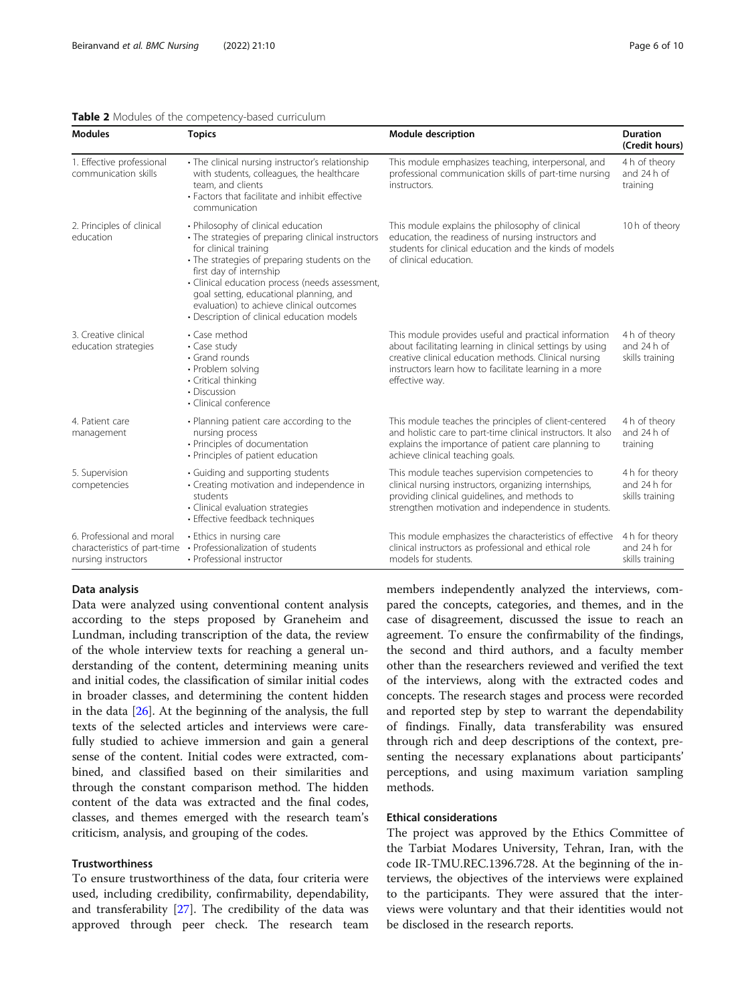#### <span id="page-5-0"></span>Table 2 Modules of the competency-based curriculum

| <b>Modules</b>                                                                   | <b>Topics</b>                                                                                                                                                                                                                                                                                                                                                                         | <b>Module description</b>                                                                                                                                                                                                                               | <b>Duration</b><br>(Credit hours)                 |
|----------------------------------------------------------------------------------|---------------------------------------------------------------------------------------------------------------------------------------------------------------------------------------------------------------------------------------------------------------------------------------------------------------------------------------------------------------------------------------|---------------------------------------------------------------------------------------------------------------------------------------------------------------------------------------------------------------------------------------------------------|---------------------------------------------------|
| 1. Effective professional<br>communication skills                                | · The clinical nursing instructor's relationship<br>with students, colleagues, the healthcare<br>team, and clients<br>• Factors that facilitate and inhibit effective<br>communication                                                                                                                                                                                                | This module emphasizes teaching, interpersonal, and<br>professional communication skills of part-time nursing<br>instructors.                                                                                                                           | 4 h of theory<br>and 24 h of<br>training          |
| 2. Principles of clinical<br>education                                           | • Philosophy of clinical education<br>• The strategies of preparing clinical instructors<br>for clinical training<br>• The strategies of preparing students on the<br>first day of internship<br>· Clinical education process (needs assessment,<br>goal setting, educational planning, and<br>evaluation) to achieve clinical outcomes<br>· Description of clinical education models | This module explains the philosophy of clinical<br>education, the readiness of nursing instructors and<br>students for clinical education and the kinds of models<br>of clinical education.                                                             | 10 h of theory                                    |
| 3. Creative clinical<br>education strategies                                     | • Case method<br>• Case study<br>• Grand rounds<br>• Problem solving<br>• Critical thinking<br>• Discussion<br>· Clinical conference                                                                                                                                                                                                                                                  | This module provides useful and practical information<br>about facilitating learning in clinical settings by using<br>creative clinical education methods. Clinical nursing<br>instructors learn how to facilitate learning in a more<br>effective way. | 4 h of theory<br>and 24 h of<br>skills training   |
| 4. Patient care<br>management                                                    | • Planning patient care according to the<br>nursing process<br>• Principles of documentation<br>• Principles of patient education                                                                                                                                                                                                                                                     | This module teaches the principles of client-centered<br>and holistic care to part-time clinical instructors. It also<br>explains the importance of patient care planning to<br>achieve clinical teaching goals.                                        |                                                   |
| 5. Supervision<br>competencies                                                   | • Guiding and supporting students<br>• Creating motivation and independence in<br>students<br>· Clinical evaluation strategies<br>• Effective feedback techniques                                                                                                                                                                                                                     | This module teaches supervision competencies to<br>clinical nursing instructors, organizing internships,<br>providing clinical guidelines, and methods to<br>strengthen motivation and independence in students.                                        | 4 h for theory<br>and 24 h for<br>skills training |
| 6. Professional and moral<br>characteristics of part-time<br>nursing instructors | • Ethics in nursing care<br>• Professionalization of students<br>• Professional instructor                                                                                                                                                                                                                                                                                            | This module emphasizes the characteristics of effective<br>clinical instructors as professional and ethical role<br>models for students.                                                                                                                | 4 h for theory<br>and 24 h for<br>skills training |

#### Data analysis

Data were analyzed using conventional content analysis according to the steps proposed by Graneheim and Lundman, including transcription of the data, the review of the whole interview texts for reaching a general understanding of the content, determining meaning units and initial codes, the classification of similar initial codes in broader classes, and determining the content hidden in the data [\[26\]](#page-9-0). At the beginning of the analysis, the full texts of the selected articles and interviews were carefully studied to achieve immersion and gain a general sense of the content. Initial codes were extracted, combined, and classified based on their similarities and through the constant comparison method. The hidden content of the data was extracted and the final codes, classes, and themes emerged with the research team's criticism, analysis, and grouping of the codes.

# Trustworthiness

To ensure trustworthiness of the data, four criteria were used, including credibility, confirmability, dependability, and transferability  $[27]$  $[27]$  $[27]$ . The credibility of the data was approved through peer check. The research team members independently analyzed the interviews, compared the concepts, categories, and themes, and in the case of disagreement, discussed the issue to reach an agreement. To ensure the confirmability of the findings, the second and third authors, and a faculty member other than the researchers reviewed and verified the text of the interviews, along with the extracted codes and concepts. The research stages and process were recorded and reported step by step to warrant the dependability of findings. Finally, data transferability was ensured through rich and deep descriptions of the context, presenting the necessary explanations about participants' perceptions, and using maximum variation sampling methods.

# Ethical considerations

The project was approved by the Ethics Committee of the Tarbiat Modares University, Tehran, Iran, with the code IR-TMU.REC.1396.728. At the beginning of the interviews, the objectives of the interviews were explained to the participants. They were assured that the interviews were voluntary and that their identities would not be disclosed in the research reports.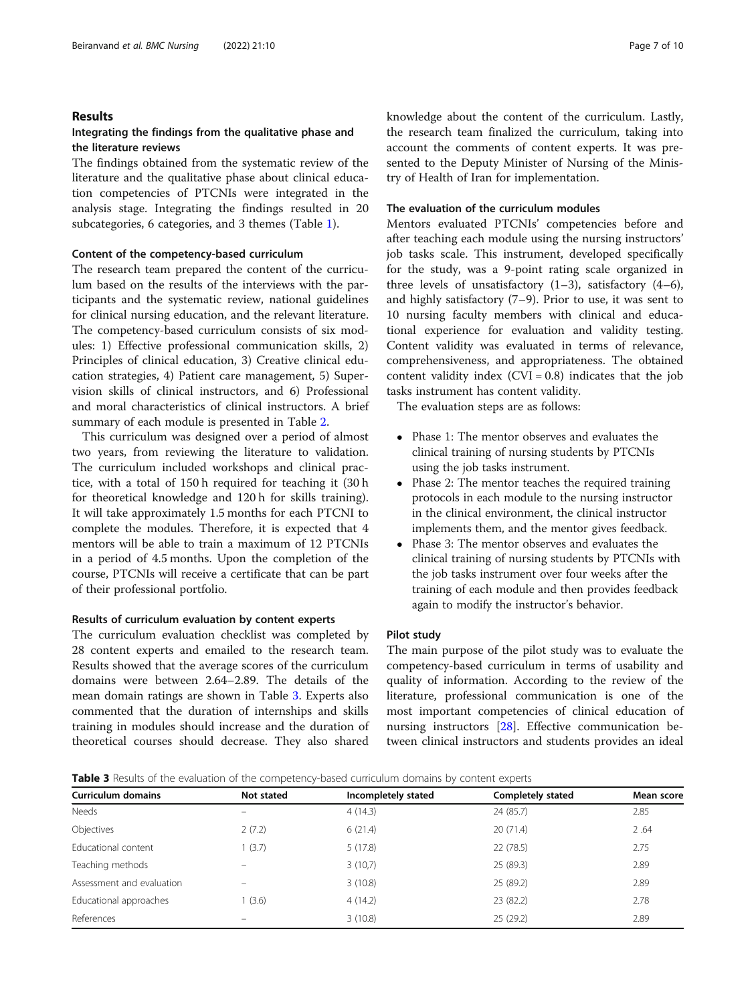#### Results

### Integrating the findings from the qualitative phase and the literature reviews

The findings obtained from the systematic review of the literature and the qualitative phase about clinical education competencies of PTCNIs were integrated in the analysis stage. Integrating the findings resulted in 20 subcategories, 6 categories, and 3 themes (Table [1](#page-4-0)).

### Content of the competency-based curriculum

The research team prepared the content of the curriculum based on the results of the interviews with the participants and the systematic review, national guidelines for clinical nursing education, and the relevant literature. The competency-based curriculum consists of six modules: 1) Effective professional communication skills, 2) Principles of clinical education, 3) Creative clinical education strategies, 4) Patient care management, 5) Supervision skills of clinical instructors, and 6) Professional and moral characteristics of clinical instructors. A brief summary of each module is presented in Table [2](#page-5-0).

This curriculum was designed over a period of almost two years, from reviewing the literature to validation. The curriculum included workshops and clinical practice, with a total of 150 h required for teaching it (30 h for theoretical knowledge and 120 h for skills training). It will take approximately 1.5 months for each PTCNI to complete the modules. Therefore, it is expected that 4 mentors will be able to train a maximum of 12 PTCNIs in a period of 4.5 months. Upon the completion of the course, PTCNIs will receive a certificate that can be part of their professional portfolio.

#### Results of curriculum evaluation by content experts

The curriculum evaluation checklist was completed by 28 content experts and emailed to the research team. Results showed that the average scores of the curriculum domains were between 2.64–2.89. The details of the mean domain ratings are shown in Table 3. Experts also commented that the duration of internships and skills training in modules should increase and the duration of theoretical courses should decrease. They also shared knowledge about the content of the curriculum. Lastly, the research team finalized the curriculum, taking into account the comments of content experts. It was presented to the Deputy Minister of Nursing of the Ministry of Health of Iran for implementation.

#### The evaluation of the curriculum modules

Mentors evaluated PTCNIs' competencies before and after teaching each module using the nursing instructors' job tasks scale. This instrument, developed specifically for the study, was a 9-point rating scale organized in three levels of unsatisfactory  $(1-3)$ , satisfactory  $(4-6)$ , and highly satisfactory (7–9). Prior to use, it was sent to 10 nursing faculty members with clinical and educational experience for evaluation and validity testing. Content validity was evaluated in terms of relevance, comprehensiveness, and appropriateness. The obtained content validity index  $(CVI = 0.8)$  indicates that the job tasks instrument has content validity.

The evaluation steps are as follows:

- Phase 1: The mentor observes and evaluates the clinical training of nursing students by PTCNIs using the job tasks instrument.
- Phase 2: The mentor teaches the required training protocols in each module to the nursing instructor in the clinical environment, the clinical instructor implements them, and the mentor gives feedback.
- Phase 3: The mentor observes and evaluates the clinical training of nursing students by PTCNIs with the job tasks instrument over four weeks after the training of each module and then provides feedback again to modify the instructor's behavior.

#### Pilot study

The main purpose of the pilot study was to evaluate the competency-based curriculum in terms of usability and quality of information. According to the review of the literature, professional communication is one of the most important competencies of clinical education of nursing instructors [\[28](#page-9-0)]. Effective communication between clinical instructors and students provides an ideal

| <b>Table 3</b> Results of the evaluation of the competency-based curriculum domains by content experts |  |  |
|--------------------------------------------------------------------------------------------------------|--|--|
|--------------------------------------------------------------------------------------------------------|--|--|

| <b>Curriculum domains</b> | Not stated | Incompletely stated | <b>Completely stated</b> | Mean score |
|---------------------------|------------|---------------------|--------------------------|------------|
| <b>Needs</b>              |            | 4(14.3)             | 24 (85.7)                | 2.85       |
| Objectives                | 2(7.2)     | 6(21.4)             | 20(71.4)                 | 2.64       |
| Educational content       | 1(3.7)     | 5(17.8)             | 22(78.5)                 | 2.75       |
| Teaching methods          |            | 3(10,7)             | 25 (89.3)                | 2.89       |
| Assessment and evaluation |            | 3(10.8)             | 25 (89.2)                | 2.89       |
| Educational approaches    | 1(3.6)     | 4(14.2)             | 23 (82.2)                | 2.78       |
| References                |            | 3(10.8)             | 25(29.2)                 | 2.89       |
|                           |            |                     |                          |            |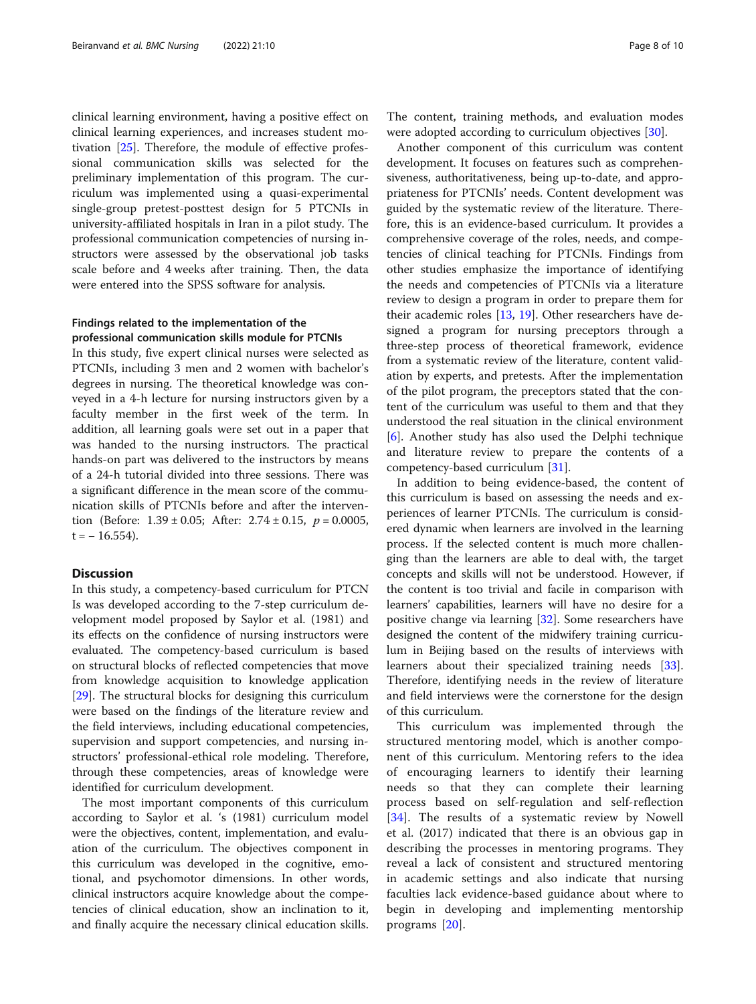clinical learning environment, having a positive effect on clinical learning experiences, and increases student motivation [[25\]](#page-9-0). Therefore, the module of effective professional communication skills was selected for the preliminary implementation of this program. The curriculum was implemented using a quasi-experimental single-group pretest-posttest design for 5 PTCNIs in university-affiliated hospitals in Iran in a pilot study. The professional communication competencies of nursing instructors were assessed by the observational job tasks scale before and 4 weeks after training. Then, the data were entered into the SPSS software for analysis.

# Findings related to the implementation of the professional communication skills module for PTCNIs

In this study, five expert clinical nurses were selected as PTCNIs, including 3 men and 2 women with bachelor's degrees in nursing. The theoretical knowledge was conveyed in a 4-h lecture for nursing instructors given by a faculty member in the first week of the term. In addition, all learning goals were set out in a paper that was handed to the nursing instructors. The practical hands-on part was delivered to the instructors by means of a 24-h tutorial divided into three sessions. There was a significant difference in the mean score of the communication skills of PTCNIs before and after the intervention (Before:  $1.39 \pm 0.05$ ; After:  $2.74 \pm 0.15$ ,  $p = 0.0005$ ,  $t = -16.554$ ).

# Discussion

In this study, a competency-based curriculum for PTCN Is was developed according to the 7-step curriculum development model proposed by Saylor et al. (1981) and its effects on the confidence of nursing instructors were evaluated. The competency-based curriculum is based on structural blocks of reflected competencies that move from knowledge acquisition to knowledge application [[29\]](#page-9-0). The structural blocks for designing this curriculum were based on the findings of the literature review and the field interviews, including educational competencies, supervision and support competencies, and nursing instructors' professional-ethical role modeling. Therefore, through these competencies, areas of knowledge were identified for curriculum development.

The most important components of this curriculum according to Saylor et al. 's (1981) curriculum model were the objectives, content, implementation, and evaluation of the curriculum. The objectives component in this curriculum was developed in the cognitive, emotional, and psychomotor dimensions. In other words, clinical instructors acquire knowledge about the competencies of clinical education, show an inclination to it, and finally acquire the necessary clinical education skills.

The content, training methods, and evaluation modes were adopted according to curriculum objectives [\[30\]](#page-9-0).

Another component of this curriculum was content development. It focuses on features such as comprehensiveness, authoritativeness, being up-to-date, and appropriateness for PTCNIs' needs. Content development was guided by the systematic review of the literature. Therefore, this is an evidence-based curriculum. It provides a comprehensive coverage of the roles, needs, and competencies of clinical teaching for PTCNIs. Findings from other studies emphasize the importance of identifying the needs and competencies of PTCNIs via a literature review to design a program in order to prepare them for their academic roles [[13,](#page-9-0) [19\]](#page-9-0). Other researchers have designed a program for nursing preceptors through a three-step process of theoretical framework, evidence from a systematic review of the literature, content validation by experts, and pretests. After the implementation of the pilot program, the preceptors stated that the content of the curriculum was useful to them and that they understood the real situation in the clinical environment [[6\]](#page-9-0). Another study has also used the Delphi technique and literature review to prepare the contents of a competency-based curriculum [[31\]](#page-9-0).

In addition to being evidence-based, the content of this curriculum is based on assessing the needs and experiences of learner PTCNIs. The curriculum is considered dynamic when learners are involved in the learning process. If the selected content is much more challenging than the learners are able to deal with, the target concepts and skills will not be understood. However, if the content is too trivial and facile in comparison with learners' capabilities, learners will have no desire for a positive change via learning [[32\]](#page-9-0). Some researchers have designed the content of the midwifery training curriculum in Beijing based on the results of interviews with learners about their specialized training needs [\[33](#page-9-0)]. Therefore, identifying needs in the review of literature and field interviews were the cornerstone for the design of this curriculum.

This curriculum was implemented through the structured mentoring model, which is another component of this curriculum. Mentoring refers to the idea of encouraging learners to identify their learning needs so that they can complete their learning process based on self-regulation and self-reflection [[34\]](#page-9-0). The results of a systematic review by Nowell et al. (2017) indicated that there is an obvious gap in describing the processes in mentoring programs. They reveal a lack of consistent and structured mentoring in academic settings and also indicate that nursing faculties lack evidence-based guidance about where to begin in developing and implementing mentorship programs [\[20](#page-9-0)].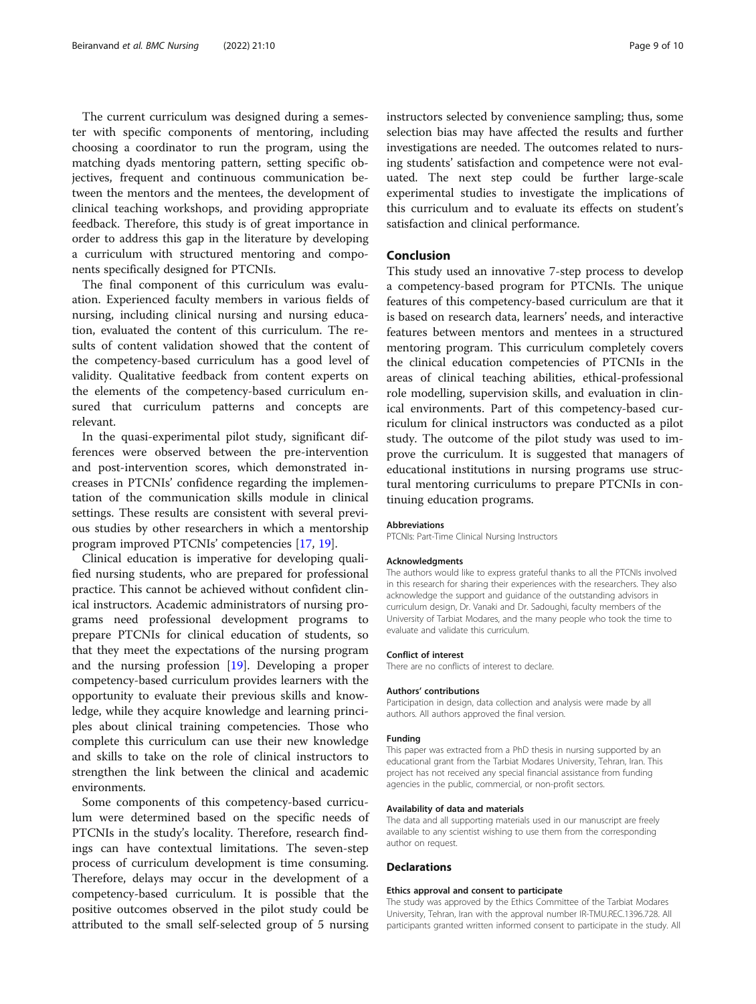The current curriculum was designed during a semester with specific components of mentoring, including choosing a coordinator to run the program, using the matching dyads mentoring pattern, setting specific objectives, frequent and continuous communication between the mentors and the mentees, the development of clinical teaching workshops, and providing appropriate feedback. Therefore, this study is of great importance in order to address this gap in the literature by developing a curriculum with structured mentoring and components specifically designed for PTCNIs.

The final component of this curriculum was evaluation. Experienced faculty members in various fields of nursing, including clinical nursing and nursing education, evaluated the content of this curriculum. The results of content validation showed that the content of the competency-based curriculum has a good level of validity. Qualitative feedback from content experts on the elements of the competency-based curriculum ensured that curriculum patterns and concepts are relevant.

In the quasi-experimental pilot study, significant differences were observed between the pre-intervention and post-intervention scores, which demonstrated increases in PTCNIs' confidence regarding the implementation of the communication skills module in clinical settings. These results are consistent with several previous studies by other researchers in which a mentorship program improved PTCNIs' competencies [\[17,](#page-9-0) [19\]](#page-9-0).

Clinical education is imperative for developing qualified nursing students, who are prepared for professional practice. This cannot be achieved without confident clinical instructors. Academic administrators of nursing programs need professional development programs to prepare PTCNIs for clinical education of students, so that they meet the expectations of the nursing program and the nursing profession [[19\]](#page-9-0). Developing a proper competency-based curriculum provides learners with the opportunity to evaluate their previous skills and knowledge, while they acquire knowledge and learning principles about clinical training competencies. Those who complete this curriculum can use their new knowledge and skills to take on the role of clinical instructors to strengthen the link between the clinical and academic environments.

Some components of this competency-based curriculum were determined based on the specific needs of PTCNIs in the study's locality. Therefore, research findings can have contextual limitations. The seven-step process of curriculum development is time consuming. Therefore, delays may occur in the development of a competency-based curriculum. It is possible that the positive outcomes observed in the pilot study could be attributed to the small self-selected group of 5 nursing

instructors selected by convenience sampling; thus, some selection bias may have affected the results and further investigations are needed. The outcomes related to nursing students' satisfaction and competence were not evaluated. The next step could be further large-scale experimental studies to investigate the implications of this curriculum and to evaluate its effects on student's satisfaction and clinical performance.

## Conclusion

This study used an innovative 7-step process to develop a competency-based program for PTCNIs. The unique features of this competency-based curriculum are that it is based on research data, learners' needs, and interactive features between mentors and mentees in a structured mentoring program. This curriculum completely covers the clinical education competencies of PTCNIs in the areas of clinical teaching abilities, ethical-professional role modelling, supervision skills, and evaluation in clinical environments. Part of this competency-based curriculum for clinical instructors was conducted as a pilot study. The outcome of the pilot study was used to improve the curriculum. It is suggested that managers of educational institutions in nursing programs use structural mentoring curriculums to prepare PTCNIs in continuing education programs.

#### Abbreviations

PTCNIs: Part-Time Clinical Nursing Instructors

#### Acknowledgments

The authors would like to express grateful thanks to all the PTCNIs involved in this research for sharing their experiences with the researchers. They also acknowledge the support and guidance of the outstanding advisors in curriculum design, Dr. Vanaki and Dr. Sadoughi, faculty members of the University of Tarbiat Modares, and the many people who took the time to evaluate and validate this curriculum.

#### Conflict of interest

There are no conflicts of interest to declare.

#### Authors' contributions

Participation in design, data collection and analysis were made by all authors. All authors approved the final version.

#### Funding

This paper was extracted from a PhD thesis in nursing supported by an educational grant from the Tarbiat Modares University, Tehran, Iran. This project has not received any special financial assistance from funding agencies in the public, commercial, or non-profit sectors.

#### Availability of data and materials

The data and all supporting materials used in our manuscript are freely available to any scientist wishing to use them from the corresponding author on request.

#### Declarations

#### Ethics approval and consent to participate

The study was approved by the Ethics Committee of the Tarbiat Modares University, Tehran, Iran with the approval number IR-TMU.REC.1396.728. All participants granted written informed consent to participate in the study. All